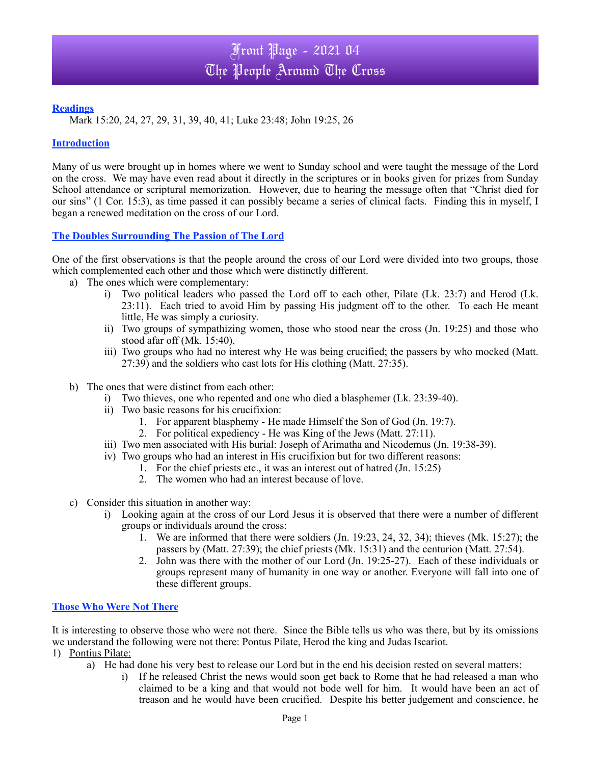## **Readings**

Mark 15:20, 24, 27, 29, 31, 39, 40, 41; Luke 23:48; John 19:25, 26

### **Introduction**

Many of us were brought up in homes where we went to Sunday school and were taught the message of the Lord on the cross. We may have even read about it directly in the scriptures or in books given for prizes from Sunday School attendance or scriptural memorization. However, due to hearing the message often that "Christ died for our sins" (1 Cor. 15:3), as time passed it can possibly became a series of clinical facts. Finding this in myself, I began a renewed meditation on the cross of our Lord.

# **The Doubles Surrounding The Passion of The Lord**

One of the first observations is that the people around the cross of our Lord were divided into two groups, those which complemented each other and those which were distinctly different.

- a) The ones which were complementary:
	- i) Two political leaders who passed the Lord off to each other, Pilate (Lk. 23:7) and Herod (Lk. 23:11). Each tried to avoid Him by passing His judgment off to the other. To each He meant little, He was simply a curiosity.
	- ii) Two groups of sympathizing women, those who stood near the cross (Jn. 19:25) and those who stood afar off (Mk. 15:40).
	- iii) Two groups who had no interest why He was being crucified; the passers by who mocked (Matt. 27:39) and the soldiers who cast lots for His clothing (Matt. 27:35).
- b) The ones that were distinct from each other:
	- i) Two thieves, one who repented and one who died a blasphemer (Lk. 23:39-40).
	- ii) Two basic reasons for his crucifixion:
		- 1. For apparent blasphemy He made Himself the Son of God (Jn. 19:7).
		- 2. For political expediency He was King of the Jews (Matt. 27:11).
	- iii) Two men associated with His burial: Joseph of Arimatha and Nicodemus (Jn. 19:38-39).
	- iv) Two groups who had an interest in His crucifixion but for two different reasons:
		- 1. For the chief priests etc., it was an interest out of hatred (Jn. 15:25)
		- 2. The women who had an interest because of love.
- c) Consider this situation in another way:
	- i) Looking again at the cross of our Lord Jesus it is observed that there were a number of different groups or individuals around the cross:
		- 1. We are informed that there were soldiers  $(In. 19:23, 24, 32, 34)$ ; thieves  $(Mk. 15:27)$ ; the passers by (Matt. 27:39); the chief priests (Mk. 15:31) and the centurion (Matt. 27:54).
		- 2. John was there with the mother of our Lord (Jn. 19:25-27). Each of these individuals or groups represent many of humanity in one way or another. Everyone will fall into one of these different groups.

#### **Those Who Were Not There**

It is interesting to observe those who were not there. Since the Bible tells us who was there, but by its omissions we understand the following were not there: Pontus Pilate, Herod the king and Judas Iscariot.

- 1) Pontius Pilate:
	- a) He had done his very best to release our Lord but in the end his decision rested on several matters:
		- i) If he released Christ the news would soon get back to Rome that he had released a man who claimed to be a king and that would not bode well for him. It would have been an act of treason and he would have been crucified. Despite his better judgement and conscience, he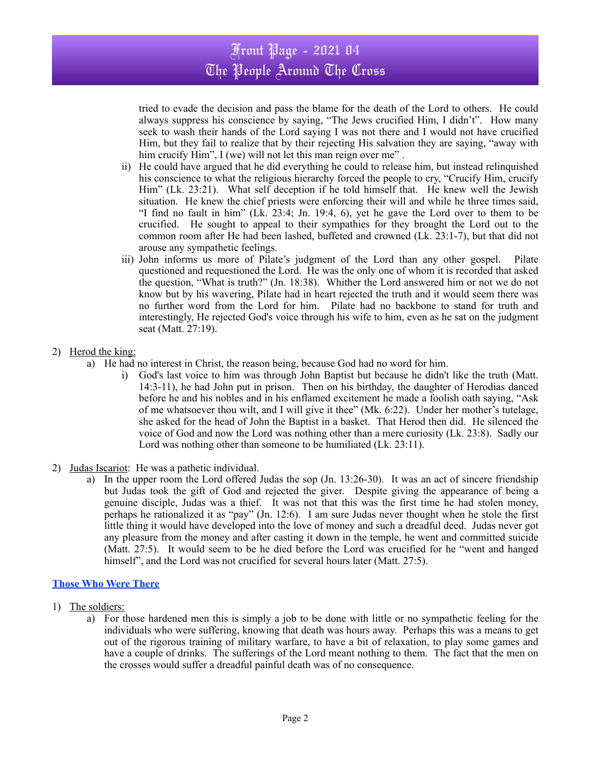# Front Page - 2021 04 The People Around The Cross

tried to evade the decision and pass the blame for the death of the Lord to others. He could always suppress his conscience by saying, "The Jews crucified Him, I didn't". How many seek to wash their hands of the Lord saying I was not there and I would not have crucified Him, but they fail to realize that by their rejecting His salvation they are saying, "away with him crucify Him", I (we) will not let this man reign over me".

- ii) He could have argued that he did everything he could to release him, but instead relinquished his conscience to what the religious hierarchy forced the people to cry, "Crucify Him, crucify Him" (Lk. 23:21). What self deception if he told himself that. He knew well the Jewish situation. He knew the chief priests were enforcing their will and while he three times said, "I find no fault in him" (Lk. 23:4; Jn. 19:4, 6), yet he gave the Lord over to them to be crucified. He sought to appeal to their sympathies for they brought the Lord out to the common room after He had been lashed, buffeted and crowned (Lk. 23:1-7), but that did not arouse any sympathetic feelings.
- iii) John informs us more of Pilate's judgment of the Lord than any other gospel. Pilate questioned and requestioned the Lord. He was the only one of whom it is recorded that asked the question, "What is truth?" (Jn. 18:38). Whither the Lord answered him or not we do not know but by his wavering, Pilate had in heart rejected the truth and it would seem there was no further word from the Lord for him. Pilate had no backbone to stand for truth and interestingly, He rejected God's voice through his wife to him, even as he sat on the judgment seat (Matt. 27:19).

# 2) Herod the king:

- a) He had no interest in Christ, the reason being, because God had no word for him.
	- i) God's last voice to him was through John Baptist but because he didn't like the truth (Matt. 14:3-11), he had John put in prison. Then on his birthday, the daughter of Herodias danced before he and his nobles and in his enflamed excitement he made a foolish oath saying, "Ask of me whatsoever thou wilt, and I will give it thee" (Mk. 6:22). Under her mother's tutelage, she asked for the head of John the Baptist in a basket. That Herod then did. He silenced the voice of God and now the Lord was nothing other than a mere curiosity (Lk. 23:8). Sadly our Lord was nothing other than someone to be humiliated (Lk. 23:11).
- 2) Judas Iscariot:He was a pathetic individual.
	- a) In the upper room the Lord offered Judas the sop (Jn. 13:26-30). It was an act of sincere friendship but Judas took the gift of God and rejected the giver. Despite giving the appearance of being a genuine disciple, Judas was a thief. It was not that this was the first time he had stolen money, perhaps he rationalized it as "pay" (Jn. 12:6). I am sure Judas never thought when he stole the first little thing it would have developed into the love of money and such a dreadful deed. Judas never got any pleasure from the money and after casting it down in the temple, he went and committed suicide (Matt. 27:5). It would seem to be he died before the Lord was crucified for he "went and hanged himself", and the Lord was not crucified for several hours later (Matt. 27:5).

# **Those Who Were There**

- 1) The soldiers:
	- a) For those hardened men this is simply a job to be done with little or no sympathetic feeling for the individuals who were suffering, knowing that death was hours away. Perhaps this was a means to get out of the rigorous training of military warfare, to have a bit of relaxation, to play some games and have a couple of drinks. The sufferings of the Lord meant nothing to them. The fact that the men on the crosses would suffer a dreadful painful death was of no consequence.